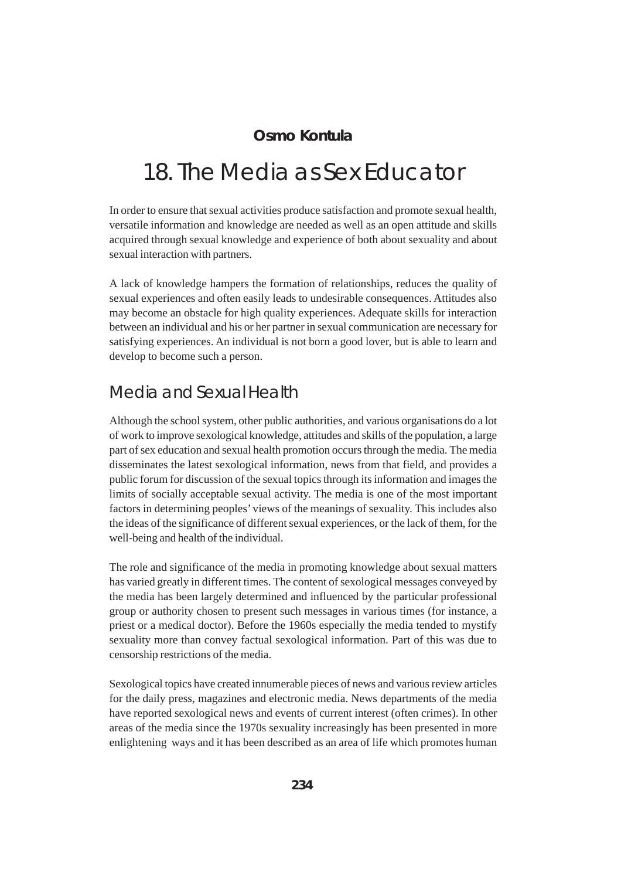#### **Osmo Kontula**

# 18. The Media as Sex Educator

In order to ensure that sexual activities produce satisfaction and promote sexual health, versatile information and knowledge are needed as well as an open attitude and skills acquired through sexual knowledge and experience of both about sexuality and about sexual interaction with partners.

A lack of knowledge hampers the formation of relationships, reduces the quality of sexual experiences and often easily leads to undesirable consequences. Attitudes also may become an obstacle for high quality experiences. Adequate skills for interaction between an individual and his or her partner in sexual communication are necessary for satisfying experiences. An individual is not born a good lover, but is able to learn and develop to become such a person.

### Media and Sexual Health

Although the school system, other public authorities, and various organisations do a lot of work to improve sexological knowledge, attitudes and skills of the population, a large part of sex education and sexual health promotion occurs through the media. The media disseminates the latest sexological information, news from that field, and provides a public forum for discussion of the sexual topics through its information and images the limits of socially acceptable sexual activity. The media is one of the most important factors in determining peoples' views of the meanings of sexuality. This includes also the ideas of the significance of different sexual experiences, or the lack of them, for the well-being and health of the individual.

The role and significance of the media in promoting knowledge about sexual matters has varied greatly in different times. The content of sexological messages conveyed by the media has been largely determined and influenced by the particular professional group or authority chosen to present such messages in various times (for instance, a priest or a medical doctor). Before the 1960s especially the media tended to mystify sexuality more than convey factual sexological information. Part of this was due to censorship restrictions of the media.

Sexological topics have created innumerable pieces of news and various review articles for the daily press, magazines and electronic media. News departments of the media have reported sexological news and events of current interest (often crimes). In other areas of the media since the 1970s sexuality increasingly has been presented in more enlightening ways and it has been described as an area of life which promotes human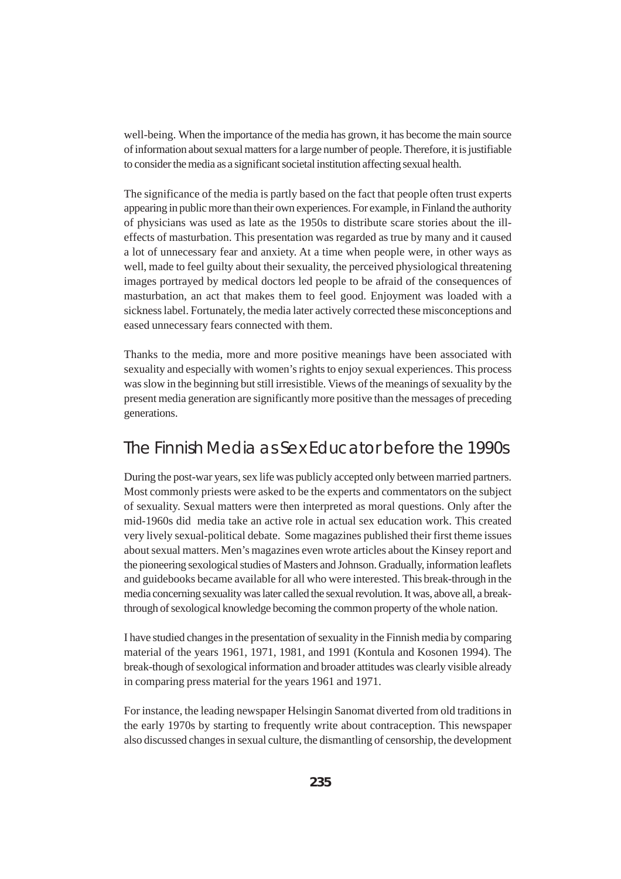well-being. When the importance of the media has grown, it has become the main source of information about sexual matters for a large number of people. Therefore, it is justifiable to consider the media as a significant societal institution affecting sexual health.

The significance of the media is partly based on the fact that people often trust experts appearing in public more than their own experiences. For example, in Finland the authority of physicians was used as late as the 1950s to distribute scare stories about the illeffects of masturbation. This presentation was regarded as true by many and it caused a lot of unnecessary fear and anxiety. At a time when people were, in other ways as well, made to feel guilty about their sexuality, the perceived physiological threatening images portrayed by medical doctors led people to be afraid of the consequences of masturbation, an act that makes them to feel good. Enjoyment was loaded with a sickness label. Fortunately, the media later actively corrected these misconceptions and eased unnecessary fears connected with them.

Thanks to the media, more and more positive meanings have been associated with sexuality and especially with women's rights to enjoy sexual experiences. This process was slow in the beginning but still irresistible. Views of the meanings of sexuality by the present media generation are significantly more positive than the messages of preceding generations.

#### The Finnish Media as Sex Educator before the 1990s

During the post-war years, sex life was publicly accepted only between married partners. Most commonly priests were asked to be the experts and commentators on the subject of sexuality. Sexual matters were then interpreted as moral questions. Only after the mid-1960s did media take an active role in actual sex education work. This created very lively sexual-political debate. Some magazines published their first theme issues about sexual matters. Men's magazines even wrote articles about the Kinsey report and the pioneering sexological studies of Masters and Johnson. Gradually, information leaflets and guidebooks became available for all who were interested. This break-through in the media concerning sexuality was later called the sexual revolution. It was, above all, a breakthrough of sexological knowledge becoming the common property of the whole nation.

I have studied changes in the presentation of sexuality in the Finnish media by comparing material of the years 1961, 1971, 1981, and 1991 (Kontula and Kosonen 1994). The break-though of sexological information and broader attitudes was clearly visible already in comparing press material for the years 1961 and 1971.

For instance, the leading newspaper Helsingin Sanomat diverted from old traditions in the early 1970s by starting to frequently write about contraception. This newspaper also discussed changes in sexual culture, the dismantling of censorship, the development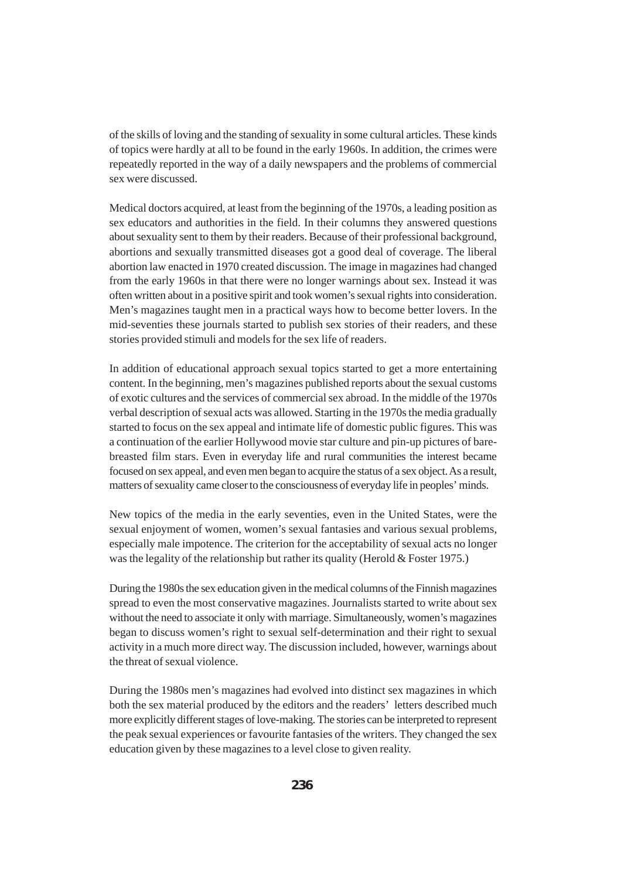of the skills of loving and the standing of sexuality in some cultural articles. These kinds of topics were hardly at all to be found in the early 1960s. In addition, the crimes were repeatedly reported in the way of a daily newspapers and the problems of commercial sex were discussed.

Medical doctors acquired, at least from the beginning of the 1970s, a leading position as sex educators and authorities in the field. In their columns they answered questions about sexuality sent to them by their readers. Because of their professional background, abortions and sexually transmitted diseases got a good deal of coverage. The liberal abortion law enacted in 1970 created discussion. The image in magazines had changed from the early 1960s in that there were no longer warnings about sex. Instead it was often written about in a positive spirit and took women's sexual rights into consideration. Men's magazines taught men in a practical ways how to become better lovers. In the mid-seventies these journals started to publish sex stories of their readers, and these stories provided stimuli and models for the sex life of readers.

In addition of educational approach sexual topics started to get a more entertaining content. In the beginning, men's magazines published reports about the sexual customs of exotic cultures and the services of commercial sex abroad. In the middle of the 1970s verbal description of sexual acts was allowed. Starting in the 1970s the media gradually started to focus on the sex appeal and intimate life of domestic public figures. This was a continuation of the earlier Hollywood movie star culture and pin-up pictures of barebreasted film stars. Even in everyday life and rural communities the interest became focused on sex appeal, and even men began to acquire the status of a sex object. As a result, matters of sexuality came closer to the consciousness of everyday life in peoples' minds.

New topics of the media in the early seventies, even in the United States, were the sexual enjoyment of women, women's sexual fantasies and various sexual problems, especially male impotence. The criterion for the acceptability of sexual acts no longer was the legality of the relationship but rather its quality (Herold & Foster 1975.)

During the 1980s the sex education given in the medical columns of the Finnish magazines spread to even the most conservative magazines. Journalists started to write about sex without the need to associate it only with marriage. Simultaneously, women's magazines began to discuss women's right to sexual self-determination and their right to sexual activity in a much more direct way. The discussion included, however, warnings about the threat of sexual violence.

During the 1980s men's magazines had evolved into distinct sex magazines in which both the sex material produced by the editors and the readers' letters described much more explicitly different stages of love-making. The stories can be interpreted to represent the peak sexual experiences or favourite fantasies of the writers. They changed the sex education given by these magazines to a level close to given reality.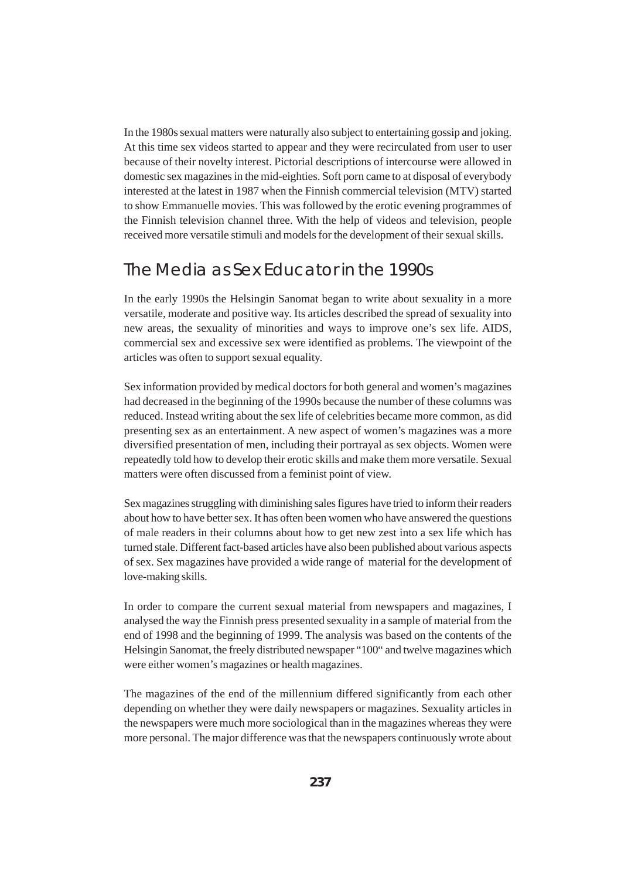In the 1980s sexual matters were naturally also subject to entertaining gossip and joking. At this time sex videos started to appear and they were recirculated from user to user because of their novelty interest. Pictorial descriptions of intercourse were allowed in domestic sex magazines in the mid-eighties. Soft porn came to at disposal of everybody interested at the latest in 1987 when the Finnish commercial television (MTV) started to show Emmanuelle movies. This was followed by the erotic evening programmes of the Finnish television channel three. With the help of videos and television, people received more versatile stimuli and models for the development of their sexual skills.

#### The Media as Sex Educator in the 1990s

In the early 1990s the Helsingin Sanomat began to write about sexuality in a more versatile, moderate and positive way. Its articles described the spread of sexuality into new areas, the sexuality of minorities and ways to improve one's sex life. AIDS, commercial sex and excessive sex were identified as problems. The viewpoint of the articles was often to support sexual equality.

Sex information provided by medical doctors for both general and women's magazines had decreased in the beginning of the 1990s because the number of these columns was reduced. Instead writing about the sex life of celebrities became more common, as did presenting sex as an entertainment. A new aspect of women's magazines was a more diversified presentation of men, including their portrayal as sex objects. Women were repeatedly told how to develop their erotic skills and make them more versatile. Sexual matters were often discussed from a feminist point of view.

Sex magazines struggling with diminishing sales figures have tried to inform their readers about how to have better sex. It has often been women who have answered the questions of male readers in their columns about how to get new zest into a sex life which has turned stale. Different fact-based articles have also been published about various aspects of sex. Sex magazines have provided a wide range of material for the development of love-making skills.

In order to compare the current sexual material from newspapers and magazines, I analysed the way the Finnish press presented sexuality in a sample of material from the end of 1998 and the beginning of 1999. The analysis was based on the contents of the Helsingin Sanomat, the freely distributed newspaper "100" and twelve magazines which were either women's magazines or health magazines.

The magazines of the end of the millennium differed significantly from each other depending on whether they were daily newspapers or magazines. Sexuality articles in the newspapers were much more sociological than in the magazines whereas they were more personal. The major difference was that the newspapers continuously wrote about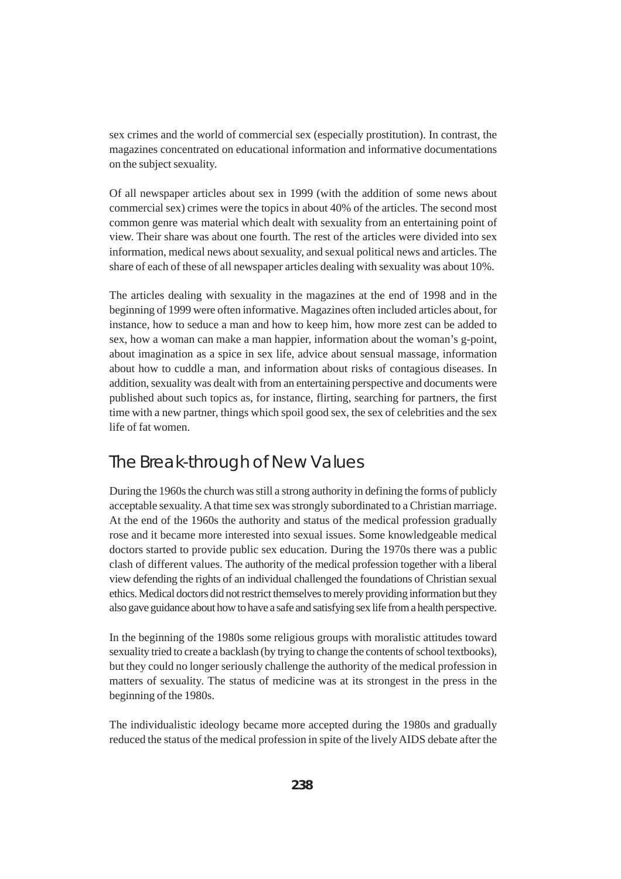sex crimes and the world of commercial sex (especially prostitution). In contrast, the magazines concentrated on educational information and informative documentations on the subject sexuality.

Of all newspaper articles about sex in 1999 (with the addition of some news about commercial sex) crimes were the topics in about 40% of the articles. The second most common genre was material which dealt with sexuality from an entertaining point of view. Their share was about one fourth. The rest of the articles were divided into sex information, medical news about sexuality, and sexual political news and articles. The share of each of these of all newspaper articles dealing with sexuality was about 10%.

The articles dealing with sexuality in the magazines at the end of 1998 and in the beginning of 1999 were often informative. Magazines often included articles about, for instance, how to seduce a man and how to keep him, how more zest can be added to sex, how a woman can make a man happier, information about the woman's g-point, about imagination as a spice in sex life, advice about sensual massage, information about how to cuddle a man, and information about risks of contagious diseases. In addition, sexuality was dealt with from an entertaining perspective and documents were published about such topics as, for instance, flirting, searching for partners, the first time with a new partner, things which spoil good sex, the sex of celebrities and the sex life of fat women.

### The Break-through of New Values

During the 1960s the church was still a strong authority in defining the forms of publicly acceptable sexuality. A that time sex was strongly subordinated to a Christian marriage. At the end of the 1960s the authority and status of the medical profession gradually rose and it became more interested into sexual issues. Some knowledgeable medical doctors started to provide public sex education. During the 1970s there was a public clash of different values. The authority of the medical profession together with a liberal view defending the rights of an individual challenged the foundations of Christian sexual ethics. Medical doctors did not restrict themselves to merely providing information but they also gave guidance about how to have a safe and satisfying sex life from a health perspective.

In the beginning of the 1980s some religious groups with moralistic attitudes toward sexuality tried to create a backlash (by trying to change the contents of school textbooks), but they could no longer seriously challenge the authority of the medical profession in matters of sexuality. The status of medicine was at its strongest in the press in the beginning of the 1980s.

The individualistic ideology became more accepted during the 1980s and gradually reduced the status of the medical profession in spite of the lively AIDS debate after the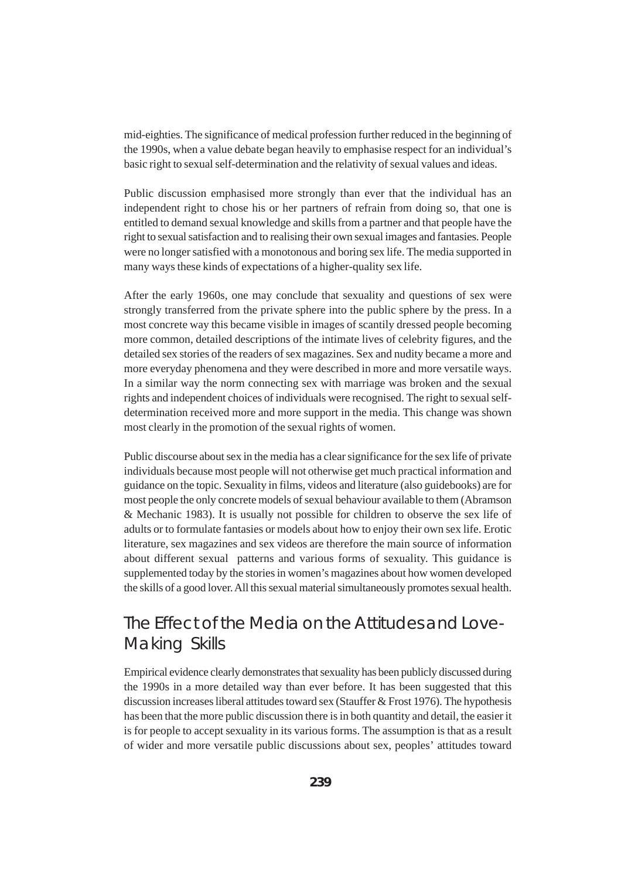mid-eighties. The significance of medical profession further reduced in the beginning of the 1990s, when a value debate began heavily to emphasise respect for an individual's basic right to sexual self-determination and the relativity of sexual values and ideas.

Public discussion emphasised more strongly than ever that the individual has an independent right to chose his or her partners of refrain from doing so, that one is entitled to demand sexual knowledge and skills from a partner and that people have the right to sexual satisfaction and to realising their own sexual images and fantasies. People were no longer satisfied with a monotonous and boring sex life. The media supported in many ways these kinds of expectations of a higher-quality sex life.

After the early 1960s, one may conclude that sexuality and questions of sex were strongly transferred from the private sphere into the public sphere by the press. In a most concrete way this became visible in images of scantily dressed people becoming more common, detailed descriptions of the intimate lives of celebrity figures, and the detailed sex stories of the readers of sex magazines. Sex and nudity became a more and more everyday phenomena and they were described in more and more versatile ways. In a similar way the norm connecting sex with marriage was broken and the sexual rights and independent choices of individuals were recognised. The right to sexual selfdetermination received more and more support in the media. This change was shown most clearly in the promotion of the sexual rights of women.

Public discourse about sex in the media has a clear significance for the sex life of private individuals because most people will not otherwise get much practical information and guidance on the topic. Sexuality in films, videos and literature (also guidebooks) are for most people the only concrete models of sexual behaviour available to them (Abramson & Mechanic 1983). It is usually not possible for children to observe the sex life of adults or to formulate fantasies or models about how to enjoy their own sex life. Erotic literature, sex magazines and sex videos are therefore the main source of information about different sexual patterns and various forms of sexuality. This guidance is supplemented today by the stories in women's magazines about how women developed the skills of a good lover. All this sexual material simultaneously promotes sexual health.

## The Effect of the Media on the Attitudes and Love-Making Skills

Empirical evidence clearly demonstrates that sexuality has been publicly discussed during the 1990s in a more detailed way than ever before. It has been suggested that this discussion increases liberal attitudes toward sex (Stauffer & Frost 1976). The hypothesis has been that the more public discussion there is in both quantity and detail, the easier it is for people to accept sexuality in its various forms. The assumption is that as a result of wider and more versatile public discussions about sex, peoples' attitudes toward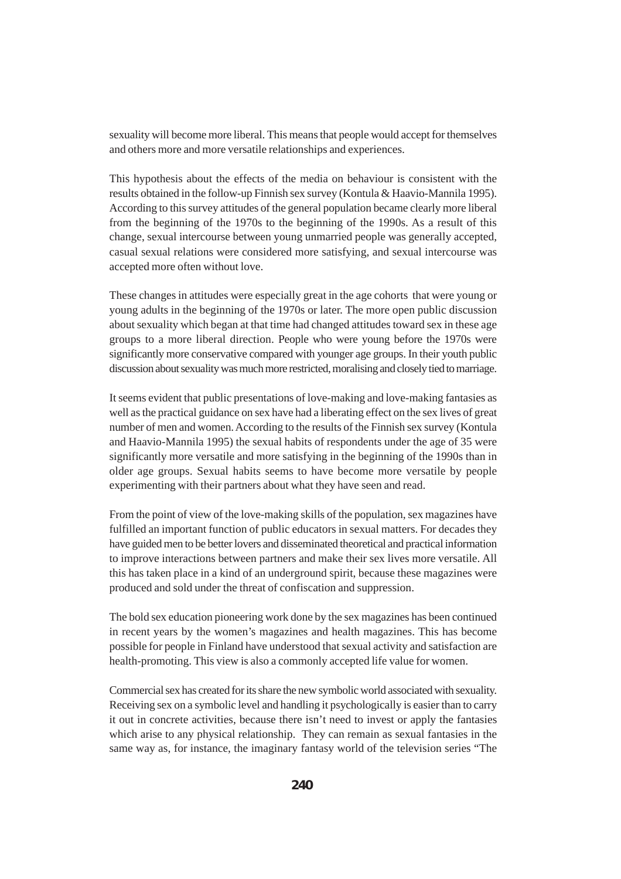sexuality will become more liberal. This means that people would accept for themselves and others more and more versatile relationships and experiences.

This hypothesis about the effects of the media on behaviour is consistent with the results obtained in the follow-up Finnish sex survey (Kontula & Haavio-Mannila 1995). According to this survey attitudes of the general population became clearly more liberal from the beginning of the 1970s to the beginning of the 1990s. As a result of this change, sexual intercourse between young unmarried people was generally accepted, casual sexual relations were considered more satisfying, and sexual intercourse was accepted more often without love.

These changes in attitudes were especially great in the age cohorts that were young or young adults in the beginning of the 1970s or later. The more open public discussion about sexuality which began at that time had changed attitudes toward sex in these age groups to a more liberal direction. People who were young before the 1970s were significantly more conservative compared with younger age groups. In their youth public discussion about sexuality was much more restricted, moralising and closely tied to marriage.

It seems evident that public presentations of love-making and love-making fantasies as well as the practical guidance on sex have had a liberating effect on the sex lives of great number of men and women. According to the results of the Finnish sex survey (Kontula and Haavio-Mannila 1995) the sexual habits of respondents under the age of 35 were significantly more versatile and more satisfying in the beginning of the 1990s than in older age groups. Sexual habits seems to have become more versatile by people experimenting with their partners about what they have seen and read.

From the point of view of the love-making skills of the population, sex magazines have fulfilled an important function of public educators in sexual matters. For decades they have guided men to be better lovers and disseminated theoretical and practical information to improve interactions between partners and make their sex lives more versatile. All this has taken place in a kind of an underground spirit, because these magazines were produced and sold under the threat of confiscation and suppression.

The bold sex education pioneering work done by the sex magazines has been continued in recent years by the women's magazines and health magazines. This has become possible for people in Finland have understood that sexual activity and satisfaction are health-promoting. This view is also a commonly accepted life value for women.

Commercial sex has created for its share the new symbolic world associated with sexuality. Receiving sex on a symbolic level and handling it psychologically is easier than to carry it out in concrete activities, because there isn't need to invest or apply the fantasies which arise to any physical relationship. They can remain as sexual fantasies in the same way as, for instance, the imaginary fantasy world of the television series "The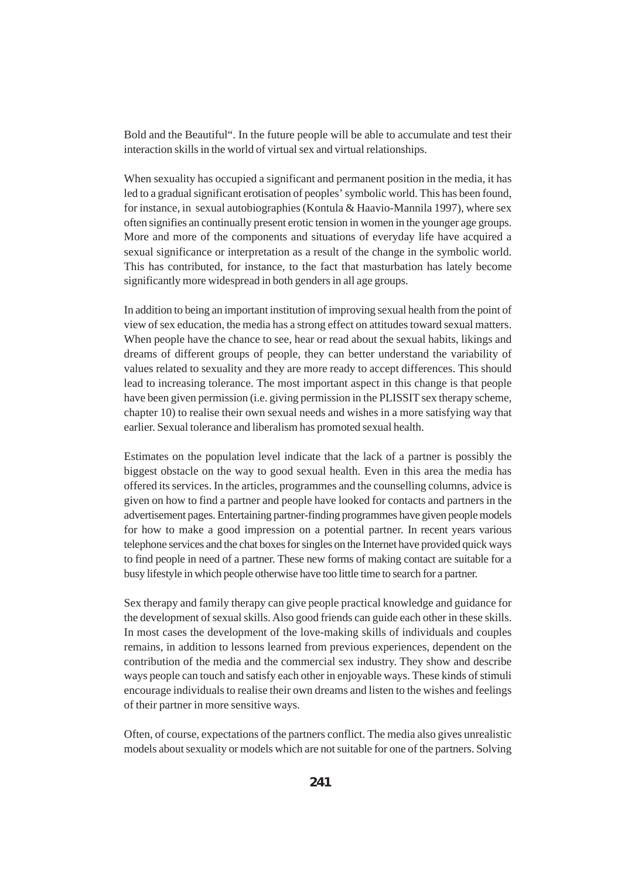Bold and the Beautiful". In the future people will be able to accumulate and test their interaction skills in the world of virtual sex and virtual relationships.

When sexuality has occupied a significant and permanent position in the media, it has led to a gradual significant erotisation of peoples' symbolic world. This has been found, for instance, in sexual autobiographies (Kontula & Haavio-Mannila 1997), where sex often signifies an continually present erotic tension in women in the younger age groups. More and more of the components and situations of everyday life have acquired a sexual significance or interpretation as a result of the change in the symbolic world. This has contributed, for instance, to the fact that masturbation has lately become significantly more widespread in both genders in all age groups.

In addition to being an important institution of improving sexual health from the point of view of sex education, the media has a strong effect on attitudes toward sexual matters. When people have the chance to see, hear or read about the sexual habits, likings and dreams of different groups of people, they can better understand the variability of values related to sexuality and they are more ready to accept differences. This should lead to increasing tolerance. The most important aspect in this change is that people have been given permission (i.e. giving permission in the PLISSIT sex therapy scheme, chapter 10) to realise their own sexual needs and wishes in a more satisfying way that earlier. Sexual tolerance and liberalism has promoted sexual health.

Estimates on the population level indicate that the lack of a partner is possibly the biggest obstacle on the way to good sexual health. Even in this area the media has offered its services. In the articles, programmes and the counselling columns, advice is given on how to find a partner and people have looked for contacts and partners in the advertisement pages. Entertaining partner-finding programmes have given people models for how to make a good impression on a potential partner. In recent years various telephone services and the chat boxes for singles on the Internet have provided quick ways to find people in need of a partner. These new forms of making contact are suitable for a busy lifestyle in which people otherwise have too little time to search for a partner.

Sex therapy and family therapy can give people practical knowledge and guidance for the development of sexual skills. Also good friends can guide each other in these skills. In most cases the development of the love-making skills of individuals and couples remains, in addition to lessons learned from previous experiences, dependent on the contribution of the media and the commercial sex industry. They show and describe ways people can touch and satisfy each other in enjoyable ways. These kinds of stimuli encourage individuals to realise their own dreams and listen to the wishes and feelings of their partner in more sensitive ways.

Often, of course, expectations of the partners conflict. The media also gives unrealistic models about sexuality or models which are not suitable for one of the partners. Solving